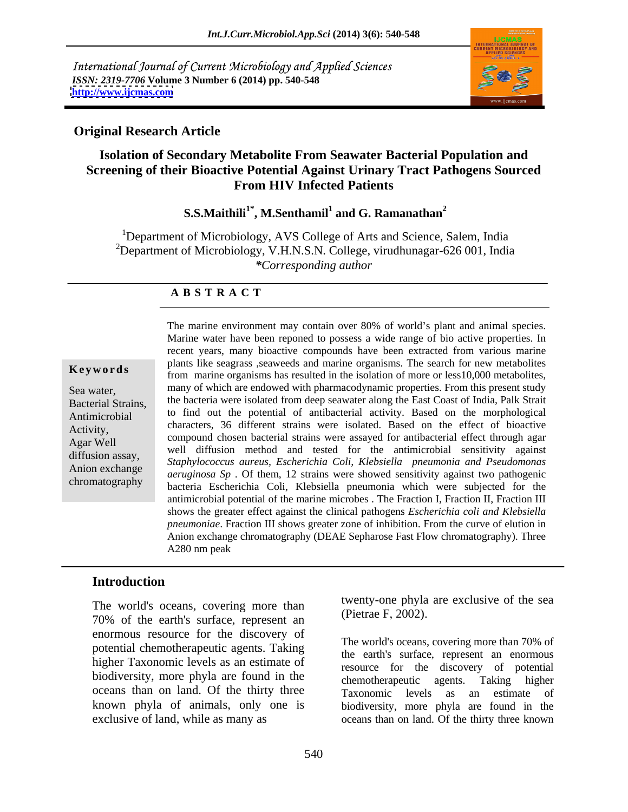International Journal of Current Microbiology and Applied Sciences *ISSN: 2319-7706* **Volume 3 Number 6 (2014) pp. 540-548 <http://www.ijcmas.com>**



## **Original Research Article**

## **Isolation of Secondary Metabolite From Seawater Bacterial Population and Screening of their Bioactive Potential Against Urinary Tract Pathogens Sourced From HIV Infected Patients**

### **S.S.Maithili<sup>1\*</sup>, M.Senthamil<sup>1</sup> and G. Ramanathan<sup>2</sup> and G. Ramanathan<sup>2</sup>**

<sup>1</sup>Department of Microbiology, AVS College of Arts and Science, Salem, India <sup>2</sup>Department of Microbiology, V.H.N.S.N. College, virudhunagar-626 001, India *\*Corresponding author* 

## **A B S T R A C T**

**Keywords**from marine organisms has resulted in the isolation of more or less10,000 metabolites, Sea water, many of which are endowed with pharmacodynamic properties. From this present study Bacterial Strains, the bacteria were isolated from deep seawater along the East Coast of India, Palk Strait Antimicrobial to find out the potential of antibacterial activity. Based on the morphological Activity,<br>A gar Wall compound chosen bacterial strains were assayed for antibacterial effect through agar Agar Well<br>well diffusion method and tested for the antimicrobial sensitivity against diffusion assay, *Staphylococcus aureus, Escherichia Coli, Klebsiella pneumonia and Pseudomonas*  Anion exchange<br> *aeruginosa Sp*. Of them, 12 strains were showed sensitivity against two pathogenic chromatography bacteria Escherichia Coli, Klebsiella pneumonia which were subjected for the The marine environment may contain over 80% of world's plant and animal species. Marine water have been reponed to possess a wide range of bio active properties. In recent years, many bioactive compounds have been extracted from various marine plants like seagrass ,seaweeds and marine organisms. The search for new metabolites characters, 36 different strains were isolated. Based on the effect of bioactive antimicrobial potential of the marine microbes . The Fraction I, Fraction II, Fraction III shows the greater effect against the clinical pathogens *Escherichia coli and Klebsiella pneumoniae*. Fraction III shows greater zone of inhibition. From the curve of elution in Anion exchange chromatography (DEAE Sepharose Fast Flow chromatography). Three A280 nm peak

fractions, named G-1,  $G-2$  were collected respectively. The antimicrobial potential potential potential potential potential potential potential potential potential potential potential potential potential potential potent

## **Introduction**

The world's oceans, covering more than 70% of the earth's surface, represent an enormous resource for the discovery of potential chemotherapeutic agents. Taking higher Taxonomic levels as an estimate of biodiversity, more phyla are found in the changes the disease of the disease of potential oceans than on land. Of the thirty three Taxonomic levels as an estimate of known phyla of animals, only one is

twenty-one phyla are exclusive of the sea (Pietrae F, 2002).

exclusive of land, while as many as oceans than on land. Of the thirty three known The world's oceans, covering more than 70% of the earth's surface, represent an enormous resource for the discovery of potential chemotherapeutic agents. Taking higher Taxonomic levels as an estimate of biodiversity, more phyla are found in the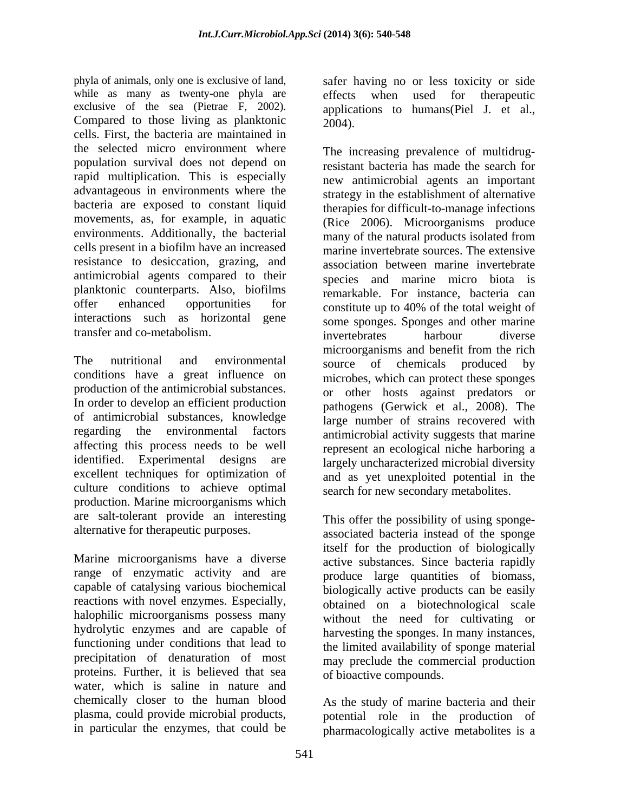phyla of animals, only one is exclusive of land, safer having no or less toxicity or side while as many as twenty-one phyla are effects when used for therapeutic exclusive of the sea (Pietrae F, 2002). applications to humans(Piel J. et al., Compared to those living as planktonic  $2004$ . cells. First, the bacteria are maintained in the selected micro environment where population survival does not depend on rapid multiplication. This is especially advantageous in environments where the bacteria are exposed to constant liquid therapies for difficult-to-manage infections movements, as, for example, in aquatic environments. Additionally, the bacterial many of the natural products isolated from cells present in a biofilm have an increased resistance to desiccation, grazing, and antimicrobial agents compared to their planktonic counterparts. Also, biofilms offer enhanced opportunities for constitute up to 40% of the total weight of interactions such as horizontal gene some sponges. Sponges and other marine transfer and co-metabolism. The invertebrates harbour diverse

The nutritional and environmental source of chemicals produced by The nutritional and environmental source of chemicals produced<br>conditions have a great influence on microbes which can protect these spo production of the antimicrobial substances. In order to develop an efficient production of antimicrobial substances, knowledge regarding the environmental factors antimicrobial activity suggests that marine affecting this process needs to be well identified. Experimental designs are largely uncharacterized microbial diversity excellent techniques for optimization of culture conditions to achieve optimal production. Marine microorganisms which are salt-tolerant provide an interesting

Marine microorganisms have a diverse range of enzymatic activity and are capable of catalysing various biochemical reactions with novel enzymes. Especially, halophilic microorganisms possess many hydrolytic enzymes and are capable of functioning under conditions that lead to the limited availability of sponge material precipitation of denaturation of most may preclude the commercial production proteins. Further, it is believed that sea water, which is saline in nature and chemically closer to the human blood As the study of marine bacteria and their plasma, could provide microbial products, potential role in the production of

2004).

The increasing prevalence of multidrugresistant bacteria has made the search for new antimicrobial agents an important strategy in the establishment of alternative (Rice 2006). Microorganisms produce many of the natural products isolated from marine invertebrate sources. The extensive association between marine invertebrate species and marine micro biota is remarkable. For instance, bacteria can constitute up to 40% of the total weight of invertebrates harbour diverse microorganisms and benefit from the rich source of chemicals produced by microbes, which can protect these sponges or other hosts against predators or pathogens (Gerwick et al., 2008). The large number of strains recovered with represent an ecological niche harboring a and as yet unexploited potential in the search for new secondary metabolites.

alternative for therapeutic purposes. associated bacteria instead of the sponge This offer the possibility of using spongeitself for the production of biologically active substances. Since bacteria rapidly produce large quantities of biomass, biologically active products can be easily obtained on a biotechnological scale without the need for cultivating or harvesting the sponges. In many instances, of bioactive compounds.

in particular the enzymes, that could be pharmacologically active metabolites is a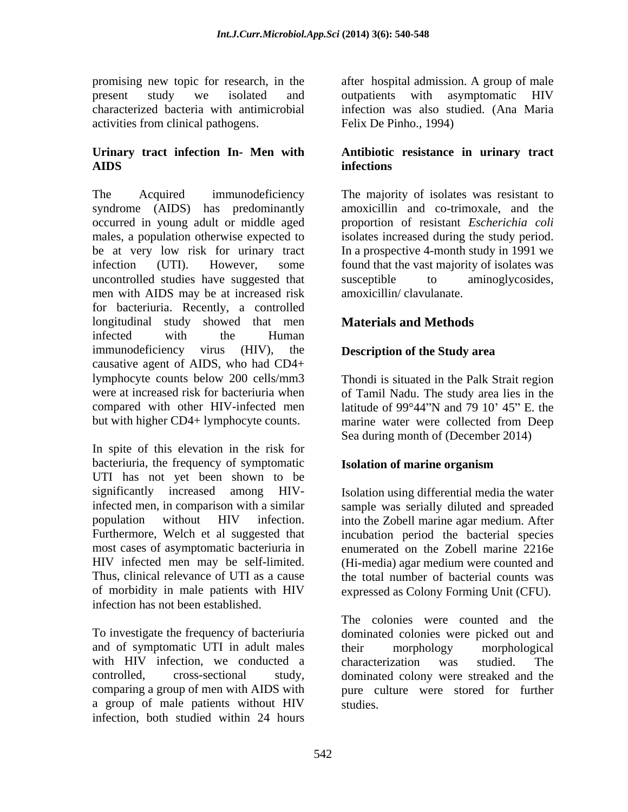promising new topic for research, in the after hospital admission. A group of male present study we isolated and outpatients with asymptomatic HIV characterized bacteria with antimicrobial infection was also studied. (Ana Maria activities from clinical pathogens.

The Acquired immunodeficiency The majority of isolates was resistant to syndrome (AIDS) has predominantly occurred in young adult or middle aged males, a population otherwise expected to be at very low risk for urinary tract In a prospective 4-month study in 1991 we infection (UTI). However, some found that the vast majority of isolates was uncontrolled studies have suggested that susceptible to aminoglycosides, men with AIDS may be at increased risk for bacteriuria. Recently, a controlled longitudinal study showed that men infected with the Human immunodeficiency virus (HIV), the **Description of the Study area**  causative agent of AIDS, who had CD4+ lymphocyte counts below 200 cells/mm3 Thondi is situated in the Palk Strait region were at increased risk for bacteriuria when of Tamil Nadu. The study area lies in the compared with other HIV-infected men latitude of  $99^{\circ}44$ "N and 79 10' 45" E. the

In spite of this elevation in the risk for bacteriuria, the frequency of symptomatic **Isolation of marine organism** UTI has not yet been shown to be significantly increased among HIV-Isolation using differential media the water infected men, in comparison with a similar sample was serially diluted and spreaded population without HIV infection. into the Zobell marine agar medium. After Furthermore, Welch et al suggested that incubation period the bacterial species most cases of asymptomatic bacteriuria in enumerated on the Zobell marine 2216e HIV infected men may be self-limited. Thus, clinical relevance of UTI as a cause the total number of bacterial counts was of morbidity in male patients with HIV expressed as Colony Forming Unit (CFU). infection has not been established.

and of symptomatic UTI in adult males their morphology morphological with HIV infection, we conducted a characterization was studied. The a group of male patients without HIV infection, both studied within 24 hours

Felix De Pinho., 1994)

### **Urinary tract infection In- Men with Antibiotic resistancein urinary tract AIDS infections**

amoxicillin and co-trimoxale, and the proportion of resistant *Escherichia coli* isolates increased during the study period. susceptible to aminoglycosides, amoxicillin/ clavulanate.

# **Materials and Methods**

but with higher CD4+ lymphocyte counts. marine water were collected from Deep Sea during month of (December 2014)

## **Isolation of marine organism**

(Hi-media) agar medium were counted and

To investigate the frequency of bacteriuria dominated colonies were picked out and controlled, cross-sectional study, dominated colony were streaked and the comparing a group of men with AIDS with pure culture were stored for further The colonies were counted and the their morphology morphological characterization was studied. The studies.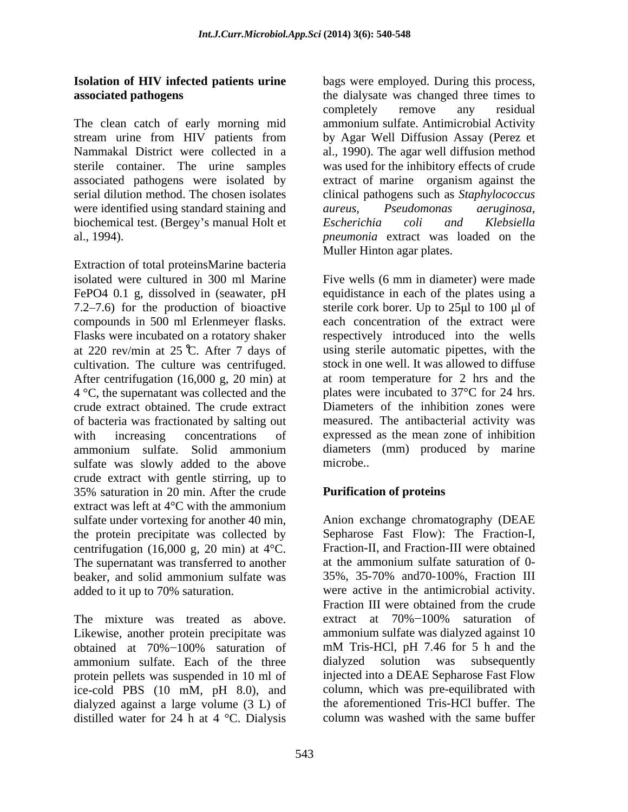The clean catch of early morning mid stream urine from HIV patients from by Agar Well Diffusion Assay (Perez et Nammakal District were collected in a al., 1990). The agar well diffusion method sterile container. The urine samples was used for the inhibitory effects of crude associated pathogens were isolated by extract of marine organism against the serial dilution method. The chosen isolates clinical pathogens such as *Staphylococcus*  were identified using standard staining and *aureus*, *Pseudomonas aeruginosa*, biochemical test. (Bergey's manual Holt et Escherichia coli and Klebsiella al., 1994). *pneumonia* extract was loaded on the

Extraction of total proteinsMarine bacteria isolated were cultured in 300 ml Marine Five wells (6 mm in diameter) were made FePO4 0.1 g, dissolved in (seawater, pH equidistance in each of the plates using a  $7.2-7.6$ ) for the production of bioactive sterile cork borer. Up to  $25\mu$  to 100  $\mu$  of compounds in 500 ml Erlenmeyer flasks. Flasks were incubated on a rotatory shaker at 220 rev/min at 25 C. After 7 days of using sterile automatic pipettes, with the cultivation. The culture was centrifuged. After centrifugation (16,000 g, 20 min) at 4 °C, the supernatant was collected and the crude extract obtained. The crude extract of bacteria was fractionated by salting out with increasing concentrations of expressed as the mean zone of inhibition ammonium sulfate. Solid ammonium sulfate was slowly added to the above microbe.. crude extract with gentle stirring, up to 35% saturation in 20 min. After the crude **Purification of proteins** extract was left at 4°C with the ammonium sulfate under vortexing for another 40 min, the protein precipitate was collected by centrifugation (16,000 g, 20 min) at  $4^{\circ}$ C. The supernatant was transferred to another at the ammonium sulfate saturation of 0beaker, and solid ammonium sulfate was

The mixture was treated as above. extract at 70%-100% saturation of Likewise, another protein precipitate was protein pellets was suspended in 10 ml of ice-cold PBS (10 mM, pH 8.0), and dialyzed against a large volume (3 L) of distilled water for 24 h at 4 °C. Dialysis

**Isolation of HIV infected patients urine** bags were employed. During this process, **associated pathogens**  the dialysate was changed three times to completely remove any residual ammonium sulfate. Antimicrobial Activity by Agar Well Diffusion Assay (Perez et *aureus, Pseudomonas aeruginosa, Escherichia coli and Klebsiella*  Muller Hinton agar plates.

> Five wells (6 mm in diameter) were made each concentration of the extract were respectively introduced into the wells stock in one well. It was allowed to diffuse at room temperature for 2 hrs and the plates were incubated to 37°C for 24 hrs. Diameters of the inhibition zones were measured. The antibacterial activity was diameters (mm) produced by marine microbe...

## **Purification of proteins**

added to it up to 70% saturation. were active in the antimicrobial activity. obtained at 70%–100% saturation of mM Tris-HCl, pH 7.46 for 5 h and the ammonium sulfate. Each of the three Anion exchange chromatography (DEAE Sepharose Fast Flow): The Fraction-I, Fraction-II, and Fraction-III were obtained at the ammonium sulfate saturation of 0- 35%, 35-70% and70-100%, Fraction III Fraction III were obtained from the crude extract at  $70\% - 100\%$  saturation of ammonium sulfate was dialyzed against 10 mM Tris-HCl, pH 7.46 for 5 h and the dialyzed solution was subsequently injected into a DEAE Sepharose Fast Flow column, which was pre-equilibrated with the aforementioned Tris-HCl buffer. The column was washed with the same buffer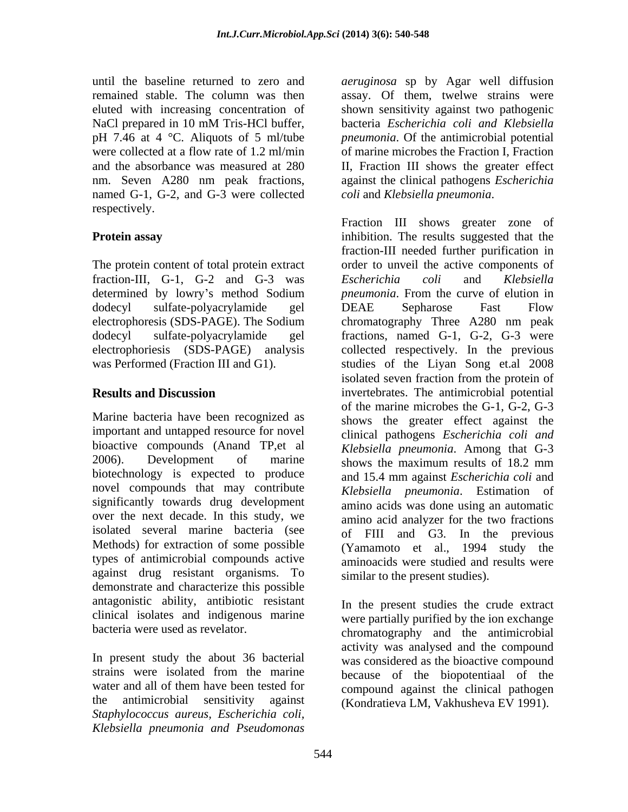pH 7.46 at 4 °C. Aliquots of 5 ml/tube named G-1, G-2, and G-3 were collected coli and Klebsiella pneumonia. respectively.

The protein content of total protein extract fraction-III, G-1, G-2 and G-3 was Escherichia coli and Klebsiella

Marine bacteria have been recognized as important and untapped resource for novel bioactive compounds (Anand TP,et al 2006). Development of marine shows the maximum results of 18.2 mm biotechnology is expected to produce novel compounds that may contribute significantly towards drug development isolated several marine bacteria (see Methods) for extraction of some possible types of antimicrobial compounds active against drug resistant organisms. To demonstrate and characterize this possible antagonistic ability, antibiotic resistant clinical isolates and indigenous marine

In present study the about 36 bacterial water and all of them have been tested for the antimicrobial sensitivity against (Kondratieva LM, Vakhusheva EV 1991).*Staphylococcus aureus, Escherichia coli, Klebsiella pneumonia and Pseudomonas*

until the baseline returned to zero and *aeruginosa* sp by Agar well diffusion remained stable. The column was then assay. Of them, twelwe strains were eluted with increasing concentration of shown sensitivity against two pathogenic NaCl prepared in 10 mM Tris-HCl buffer, bacteria Escherichia coli and Klebsiella were collected at a flow rate of 1.2 ml/min of marine microbes the Fraction I, Fraction and the absorbance was measured at 280 II, Fraction III shows the greater effect nm. Seven A280 nm peak fractions, against the clinical pathogens *Escherichia*  bacteria *Escherichia coli and Klebsiella pneumonia*. Of the antimicrobial potential

**Protein assay inhibition.** The results suggested that the determined by lowry's method Sodium *pneumonia*. From the curve of elution in dodecyl sulfate-polyacrylamide gel electrophoresis (SDS-PAGE). The Sodium chromatography Three A280 nm peak dodecyl sulfate-polyacrylamide gel fractions, named G-1, G-2, G-3 were electrophoriesis (SDS-PAGE) analysis collected respectively. In the previous was Performed (Fraction III and G1). studies of the Liyan Song et.al 2008 **Results and Discussion** invertebrates. The antimicrobial potential over the next decade. In this study, we amino acid analyzer for the two fractions *coli* and *Klebsiella pneumonia*. Fraction III shows greater zone of fraction-III needed further purification in order to unveil the active components of *Escherichia coli* and *Klebsiella*  DEAE Sepharose Fast Flow isolated seven fraction from the protein of of the marine microbes the G-1, G-2, G-3 shows the greater effect against the clinical pathogens *Escherichia coli and Klebsiella pneumonia*. Among that G-3 shows the maximum results of 18.2 mm and 15.4 mm against *Escherichia coli* and *Klebsiella pneumonia*. Estimation of amino acids was done using an automatic of FIII and G3. In the previous (Yamamoto et al., 1994 study the aminoacids were studied and results were similar to the present studies).

bacteria were used as revelator. chromatography and the antimicrobial strains were isolated from the marine because of the biopotentiaal of the In the present studies the crude extract were partially purified by the ion exchange activity was analysed and the compound was considered as the bioactive compound because of the biopotentiaal of the compound against the clinical pathogen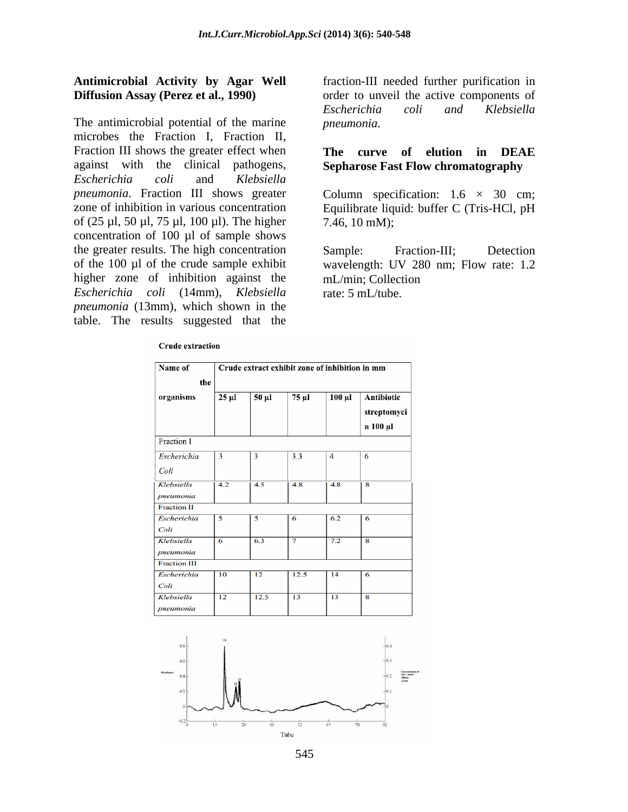# **Antimicrobial Activity by Agar Well** fraction-III needed further purification in

The antimicrobial potential of the marine microbes the Fraction I, Fraction II, Fraction III shows the greater effect when against with the clinical pathogens, **Sepharose Fast Flow chromatography** *Escherichia coli* and *Klebsiella pneumonia*. Fraction III shows greater Column specification: 1.6 × 30 cm; zone of inhibition in various concentration Equilibrate liquid: buffer C (Tris-HCl, pH of (25 µl, 50 µl, 75 µl, 100 µl). The higher concentration of 100 µl of sample shows the greater results. The high concentration Sample: Fraction-III: Detection of the 100 µl of the crude sample exhibit wavelength: UV 280 nm; Flow rate: 1.2 higher zone of inhibition against the *Escherichia coli* (14mm), *Klebsiella pneumonia* (13mm), which shown in the table. The results suggested that the

## **Crude extraction**

**Diffusion Assay (Perez et al., 1990)** order to unveil the active components of *Escherichia coli and Klebsiella pneumonia.* 

# **The curve of elution in DEAE**

7.46, 10 mM);

Sample: Fraction-III; Detection mL/min; Collection rate: 5 mL/tube.

| Name of                    | Crude extract exhibit zone of inhibition in mm |       |       |             |                                       |
|----------------------------|------------------------------------------------|-------|-------|-------------|---------------------------------------|
| the                        |                                                |       |       |             |                                       |
| organisms                  | $25 \mu$ l                                     | 50 µl | 75 µl | $100 \mu l$ | Antibiotic<br>streptomyci<br>n 100 µl |
| Fraction I                 |                                                |       |       |             |                                       |
| Escherichia                | 3                                              | 3     | 3.3   | 4           | 6                                     |
| Coli                       |                                                |       |       |             |                                       |
| Klebsiella<br>pneumonia    | 4.2                                            | 4.5   | 4.8   | 4.8         | 8                                     |
| <b>Fraction II</b>         |                                                |       |       |             |                                       |
| <b>Escherichia</b><br>Coli | 5                                              | 5     | 6     | 6.2         | 6                                     |
| Klebsiella<br>pneumonia    | 6                                              | 6.3   | 7     | 7.2         | $\overline{\mathbf{8}}$               |
| <b>Fraction III</b>        |                                                |       |       |             |                                       |
| <b>Escherichia</b><br>Coli | 10                                             | 12    | 12.5  | 14          | 6                                     |
| Klebsiella<br>pneumonia    | 12                                             | 12.5  | 13    | 13          | $\overline{\mathbf{8}}$               |

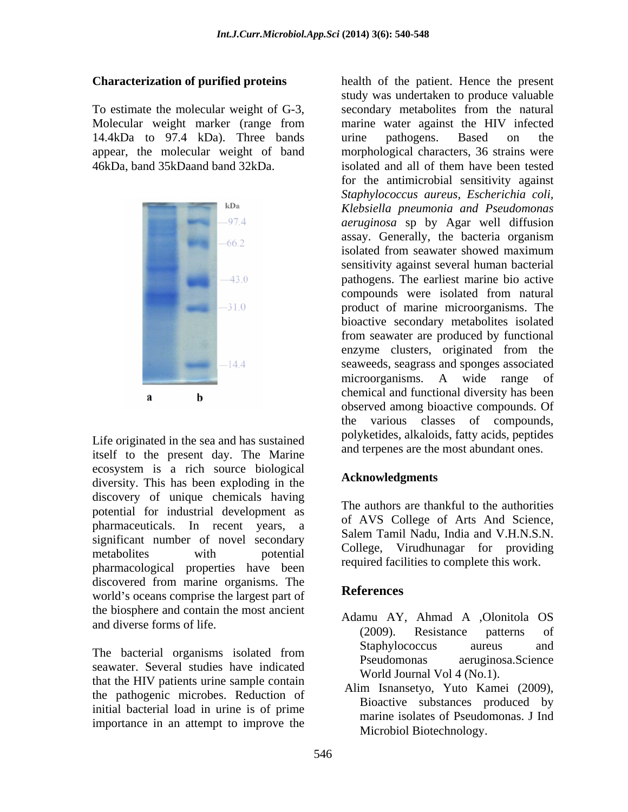14.4kDa to 97.4 kDa). Three bands urine pathogens. Based on the appear, the molecular weight of band



Life originated in the sea and has sustained itself to the present day. The Marine ecosystem is a rich source biological<br>discoverity. This has been smalled in the **Acknowledgments** diversity. This has been exploding in the discovery of unique chemicals having potential for industrial development as pharmaceuticals. In recent years, a correct of the Science,<br>Salem Tamil Nadu, India and V.H.N.S.N. significant number of novel secondary<br>College, Virudhunagar for providing metabolites with potential conege, virtualization providing pharmacological properties have been discovered from marine organisms. The<br>
letter References world's oceans comprise the largest part of the biosphere and contain the most ancient

seawater. Several studies have indicated that the HIV patients urine sample contain the pathogenic microbes. Reduction of initial bacterial load in urine is of prime importance in an attempt to improve the

**Characterization of purified proteins**  health of the patient. Hence the present To estimate the molecular weight of G-3, Molecular weight marker (range from marine water against the HIV infected 46kDa, band 35kDaand band 32kDa. isolated and all of them have been tested study was undertaken to produce valuable secondary metabolites from the natural urine pathogens. Based on the morphological characters, 36 strains were for the antimicrobial sensitivity against *Staphylococcus aureus, Escherichia coli, Klebsiella pneumonia and Pseudomonas aeruginosa* sp by Agar well diffusion assay. Generally, the bacteria organism isolated from seawater showed maximum sensitivity against several human bacterial pathogens. The earliest marine bio active compounds were isolated from natural product of marine microorganisms. The bioactive secondary metabolites isolated from seawater are produced by functional enzyme clusters, originated from the seaweeds, seagrass and sponges associated microorganisms. A wide range of chemical and functional diversity has been observed among bioactive compounds. Of the various classes of compounds, polyketides, alkaloids, fatty acids, peptides and terpenes are the most abundant ones.

## **Acknowledgments**

The authors are thankful to the authorities of AVS College of Arts And Science, Salem Tamil Nadu, India and V.H.N.S.N. College, Virudhunagar for providing required facilities to complete this work.

## **References**

- and diverse forms of life.<br>
(2009). Resistance patterns of The bacterial organisms isolated from Staphylococcus aureus and Pseudomonas aeruginosa. Science Adamu AY, Ahmad A ,Olonitola OS (2009). Resistance patterns of Staphylococcus aureus and Pseudomonas aeruginosa.Science World Journal Vol 4 (No.1).
	- Alim Isnansetyo, Yuto Kamei (2009), Bioactive substances produced by marine isolates of Pseudomonas. J Ind Microbiol Biotechnology.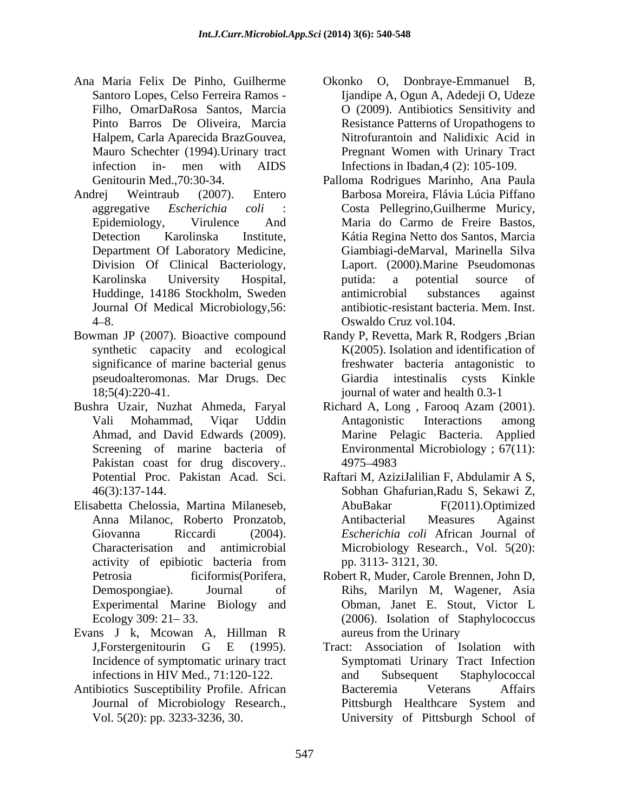- Ana Maria Felix De Pinho, Guilherme Halpem, Carla Aparecida BrazGouvea, Mauro Schechter (1994).Urinary tract
- Andrej Weintraub (2007). Entero Barbosa Moreira, Flávia Lúcia Piffano Division Of Clinical Bacteriology, Journal Of Medical Microbiology,56:
- Bowman JP (2007). Bioactive compound significance of marine bacterial genus
- Bushra Uzair, Nuzhat Ahmeda, Faryal Richard A, Long , Farooq Azam (2001). Pakistan coast for drug discovery.. 4975–4983
- Elisabetta Chelossia, Martina Milaneseb, Experimental Marine Biology and
- Evans J k, Mcowan A, Hillman R
- Antibiotics Susceptibility Profile. African
- Santoro Lopes, Celso Ferreira Ramos [jandipe A, Ogun A, Adedeji O, Udeze Filho, OmarDaRosa Santos, Marcia O (2009). Antibiotics Sensitivity and Pinto Barros De Oliveira, Marcia Resistance Patterns of Uropathogens to infection in- men with AIDS Infections in Ibadan,4 (2): 105-109. Okonko O, Donbraye-Emmanuel B, Ijandipe A, Ogun A, Adedeji O, Udeze Nitrofurantoin and Nalidixic Acid in Pregnant Women with Urinary Tract
- Genitourin Med.,70:30-34. Palloma Rodrigues Marinho, Ana Paula aggregative *Escherichia coli* : Costa Pellegrino,Guilherme Muricy, Epidemiology, Virulence And Maria do Carmo de Freire Bastos, Detection Karolinska Institute, Kátia Regina Netto dos Santos, Marcia Department Of Laboratory Medicine, Giambiagi-deMarval, Marinella Silva Karolinska University Hospital, Huddinge, 14186 Stockholm, Sweden antimicrobial substances against 4–8. Consulto Cruz vol. 104. Laport. (2000).Marine Pseudomonas putida: a potential source of antimicrobial substances against antibiotic-resistant bacteria. Mem. Inst. Oswaldo Cruz vol.104.
- synthetic capacity and ecological K(2005). Isolation and identification of pseudoalteromonas. Mar Drugs. Dec 18;5(4):220-41. journal of water and health 0.3-1 Randy P, Revetta, Mark R, Rodgers ,Brian freshwater bacteria antagonistic to Giardia intestinalis cysts Kinkle
- Vali Mohammad, Viqar Uddin Ahmad, and David Edwards (2009). Screening of marine bacteria of Environmental Microbiology; 67(11): Antagonistic Interactions among Marine Pelagic Bacteria. Applied 4975 4983
- Potential Proc. Pakistan Acad. Sci. Raftari M, AziziJalilian F, Abdulamir A S, 46(3):137-144. Anna Milanoc, Roberto Pronzatob, Giovanna Riccardi (2004). *Escherichia coli* African Journal of Characterisation and antimicrobial Microbiology Research., Vol. 5(20): activity of epibiotic bacteria from pp. 3113-3121, 30. Raftari M, AziziJalilian F, Abdulamir <sup>A</sup> S, Sobhan Ghafurian,Radu S, Sekawi Z, AbuBakar F(2011).Optimized Antibacterial Measures Against pp. 3113- 3121, 30.
- Petrosia ficiformis(Porifera, Robert R, Muder, Carole Brennen, John D, Demospongiae). Journal of Rihs, Marilyn M, Wagener, Asia Ecology 309: 21–33. (2006). Isolation of Staphylococcus Obman, Janet E. Stout, Victor L aureus from the Urinary
- J,Forstergenitourin G E (1995). Tract: Association of Isolation with<br>Incidence of symptomatic urinary tract Symptomati Urinary Tract Infection infections in HIV Med., 71:120-122. and Subsequent Staphylococcal Journal of Microbiology Research., Pittsburgh Healthcare System and Vol. 5(20): pp. 3233-3236, 30. University of Pittsburgh School ofTract: Association of Isolation with Symptomati Urinary Tract Infection and Subsequent Staphylococcal Bacteremia Veterans Affairs Pittsburgh Healthcare System and